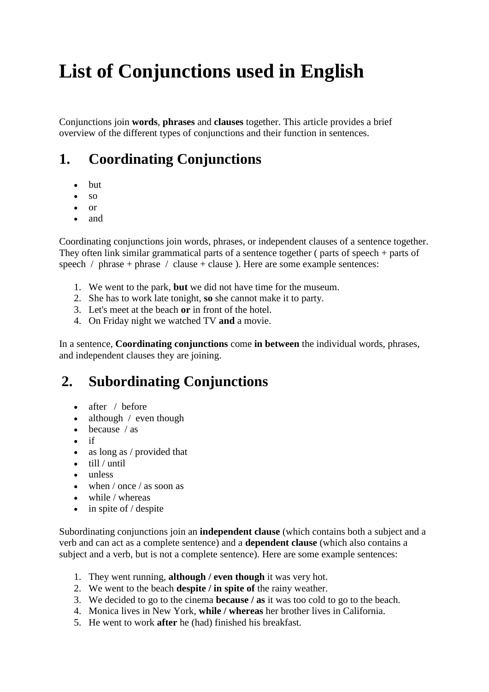# **List of Conjunctions used in English**

Conjunctions join **words**, **phrases** and **[clauses](http://grammar.yourdictionary.com/parts-of-speech/conjunctions/Coordinating%20Conjunctions%20%20%20%20%20%20*%20And%20%20%20%20%20*%20But%20%20%20%20%20%20%20*%20Or%20%20%20%20%20%20*%20Nor%20%20%20%20%20*%20For%20%20%20%20%20%20*%20Yet%20%20%20%20%20%20%20*%20So%20%20%20%20The%20words%20above%20are%20called%20coordinating%20conjunctions.%20They%20join%20words,%20phrases,%20or%20independent%20clauses%20of%20a%20sentence%20together.%20The%20word%20coordinate%20(verb)%20means)** together. This article provides a brief overview of the different types of conjunctions and their function in sentences.

## **1. Coordinating Conjunctions**

- but
- $\bullet$  so
- or
- and

Coordinating conjunctions join words, phrases, or independent clauses of a sentence together. They often link similar grammatical parts of a sentence together ( parts of speech + parts of speech / phrase + phrase / clause + clause ). Here are some example sentences:

- 1. We went to the park, **but** we did not have time for the museum.
- 2. She has to work late tonight, **so** she cannot make it to party.
- 3. Let's meet at the beach **or** in front of the hotel.
- 4. On Friday night we watched TV **and** a movie.

In a sentence, **Coordinating conjunctions** come **in between** the individual words, phrases, and independent clauses they are joining.

## **2. Subordinating Conjunctions**

- after / before
- $\bullet$  although / even though
- $\bullet$  because / as
- $\bullet$  if
- as long as / provided that
- $\bullet$  till / until
- unless
- $\bullet$  when / once / as soon as
- while / whereas
- $\bullet$  in spite of / despite

Subordinating conjunctions join an **[independent clause](http://www.yourdictionary.com/independent-clause)** (which contains both a subject and a verb and can act as a complete sentence) and a **[dependent clause](http://www.yourdictionary.com/dependent-clause)** (which also contains a subject and a verb, but is not a complete sentence). Here are some example sentences:

- 1. They went running, **although / even though** it was very hot.
- 2. We went to the beach **despite / in spite of** the rainy weather.
- 3. We decided to go to the cinema **because / as** it was too cold to go to the beach.
- 4. Monica lives in New York, **while / whereas** her brother lives in California.
- 5. He went to work **after** he (had) finished his breakfast.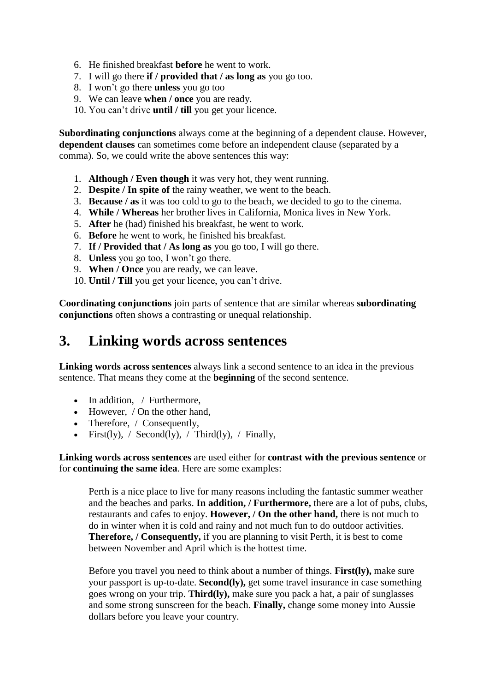- 6. He finished breakfast **before** he went to work.
- 7. I will go there **if / provided that / as long as** you go too.
- 8. I won't go there **unless** you go too
- 9. We can leave **when / once** you are ready.
- 10. You can't drive **until / till** you get your licence.

**Subordinating conjunctions** always come at the beginning of a dependent clause. However, **dependent clauses** can sometimes come before an independent clause (separated by a comma). So, we could write the above sentences this way:

- 1. **Although / Even though** it was very hot, they went running.
- 2. **Despite / In spite of** the rainy weather, we went to the beach.
- 3. **Because / as** it was too cold to go to the beach, we decided to go to the cinema.
- 4. **While / Whereas** her brother lives in California, Monica lives in New York.
- 5. **After** he (had) finished his breakfast, he went to work.
- 6. **Before** he went to work, he finished his breakfast.
- 7. **If / Provided that / As long as** you go too, I will go there.
- 8. **Unless** you go too, I won't go there.
- 9. **When / Once** you are ready, we can leave.
- 10. **Until / Till** you get your licence, you can't drive.

**Coordinating conjunctions** join parts of sentence that are similar whereas **subordinating conjunctions** often shows a contrasting or unequal relationship.

### **3. Linking words across sentences**

**Linking words across sentences** always link a second sentence to an idea in the previous sentence. That means they come at the **beginning** of the second sentence.

- In addition, / Furthermore,
- However, / On the other hand,
- Therefore, / Consequently,
- First(ly), / Second(ly), / Third(ly), / Finally,

**Linking words across sentences** are used either for **contrast with the previous sentence** or for **continuing the same idea**. Here are some examples:

Perth is a nice place to live for many reasons including the fantastic summer weather and the beaches and parks. **In addition, / Furthermore,** there are a lot of pubs, clubs, restaurants and cafes to enjoy. **However, / On the other hand,** there is not much to do in winter when it is cold and rainy and not much fun to do outdoor activities. **Therefore, / Consequently,** if you are planning to visit Perth, it is best to come between November and April which is the hottest time.

Before you travel you need to think about a number of things. **First(ly),** make sure your passport is up-to-date. **Second(ly),** get some travel insurance in case something goes wrong on your trip. **Third(ly),** make sure you pack a hat, a pair of sunglasses and some strong sunscreen for the beach. **Finally,** change some money into Aussie dollars before you leave your country.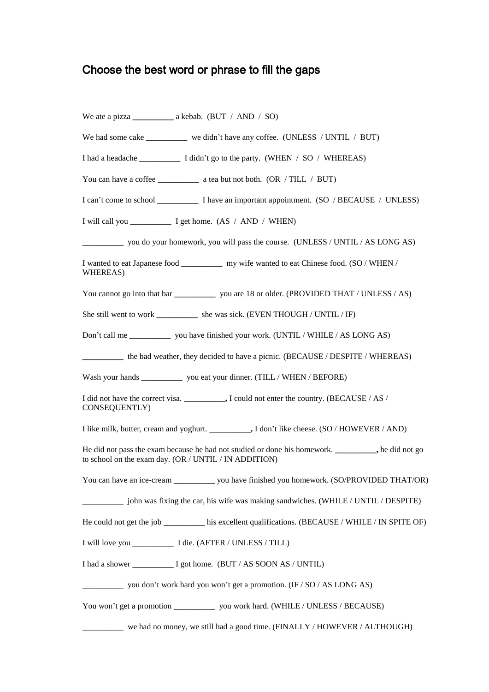## Choose the best word or phrase to fill the gaps

| We had some cake ___________ we didn't have any coffee. (UNLESS / UNTIL / BUT)                                                                              |
|-------------------------------------------------------------------------------------------------------------------------------------------------------------|
|                                                                                                                                                             |
|                                                                                                                                                             |
|                                                                                                                                                             |
|                                                                                                                                                             |
| you do your homework, you will pass the course. (UNLESS / UNTIL / AS LONG AS)                                                                               |
| I wanted to eat Japanese food _____________ my wife wanted to eat Chinese food. (SO / WHEN /<br>WHEREAS)                                                    |
| You cannot go into that bar ______________ you are 18 or older. (PROVIDED THAT / UNLESS / AS)                                                               |
| She still went to work ____________ she was sick. (EVEN THOUGH / UNTIL / IF)                                                                                |
| Don't call me ________________ you have finished your work. (UNTIL / WHILE / AS LONG AS)                                                                    |
| the bad weather, they decided to have a picnic. (BECAUSE / DESPITE / WHEREAS)                                                                               |
| Wash your hands _____________ you eat your dinner. (TILL / WHEN / BEFORE)                                                                                   |
| CONSEQUENTLY)                                                                                                                                               |
| I like milk, butter, cream and yoghurt. ___________, I don't like cheese. (SO / HOWEVER / AND)                                                              |
| He did not pass the exam because he had not studied or done his homework. _________, he did not go<br>to school on the exam day. (OR / UNTIL / IN ADDITION) |
| You can have an ice-cream ____________ you have finished you homework. (SO/PROVIDED THAT/OR)                                                                |
| ________ john was fixing the car, his wife was making sandwiches. (WHILE / UNTIL / DESPITE)                                                                 |
| He could not get the job ___________ his excellent qualifications. (BECAUSE / WHILE / IN SPITE OF)                                                          |
|                                                                                                                                                             |
| I had a shower ____________ I got home. (BUT / AS SOON AS / UNTIL)                                                                                          |
| $\frac{1}{2}$ you don't work hard you won't get a promotion. (IF / SO / AS LONG AS)                                                                         |
| You won't get a promotion ______________ you work hard. (WHILE / UNLESS / BECAUSE)                                                                          |
| we had no money, we still had a good time. $(FINALLY / HOWEVER / ALTHOUGH)$                                                                                 |